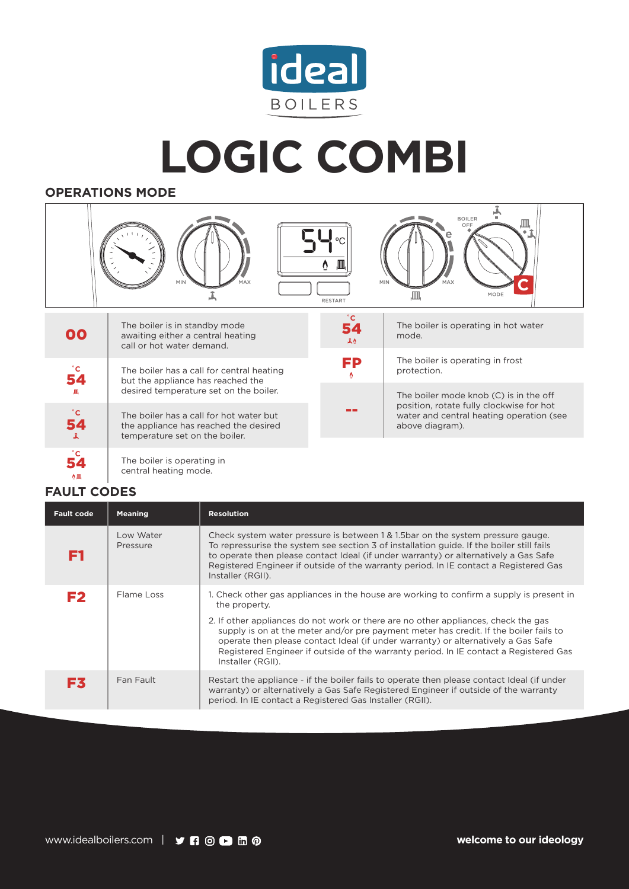

## **LOGIC COMBI**

## **OPERATIONS MODE**



--

position, rotate fully clockwise for hot water and central heating operation (see

above diagram).

The boiler has a call for hot water but the appliance has reached the desired temperature set on the boiler.

**˚C**  $\Delta$  ,  $\Box$ 

54

**˚C**

The boiler is operating in central heating mode.

## **FAULT CODES**

| <b>Fault code</b> | <b>Meaning</b>        | <b>Resolution</b>                                                                                                                                                                                                                                                                                                                                                                                                                                                                           |
|-------------------|-----------------------|---------------------------------------------------------------------------------------------------------------------------------------------------------------------------------------------------------------------------------------------------------------------------------------------------------------------------------------------------------------------------------------------------------------------------------------------------------------------------------------------|
| F1                | Low Water<br>Pressure | Check system water pressure is between 1 & 1.5 bar on the system pressure gauge.<br>To repressurise the system see section 3 of installation guide. If the boiler still fails<br>to operate then please contact Ideal (if under warranty) or alternatively a Gas Safe<br>Registered Engineer if outside of the warranty period. In IE contact a Registered Gas<br>Installer (RGII).                                                                                                         |
| F <sub>2</sub>    | Flame Loss            | 1. Check other gas appliances in the house are working to confirm a supply is present in<br>the property.<br>2. If other appliances do not work or there are no other appliances, check the gas<br>supply is on at the meter and/or pre payment meter has credit. If the boiler fails to<br>operate then please contact Ideal (if under warranty) or alternatively a Gas Safe<br>Registered Engineer if outside of the warranty period. In IE contact a Registered Gas<br>Installer (RGII). |
| F3                | Fan Fault             | Restart the appliance - if the boiler fails to operate then please contact Ideal (if under<br>warranty) or alternatively a Gas Safe Registered Engineer if outside of the warranty<br>period. In IE contact a Registered Gas Installer (RGII).                                                                                                                                                                                                                                              |